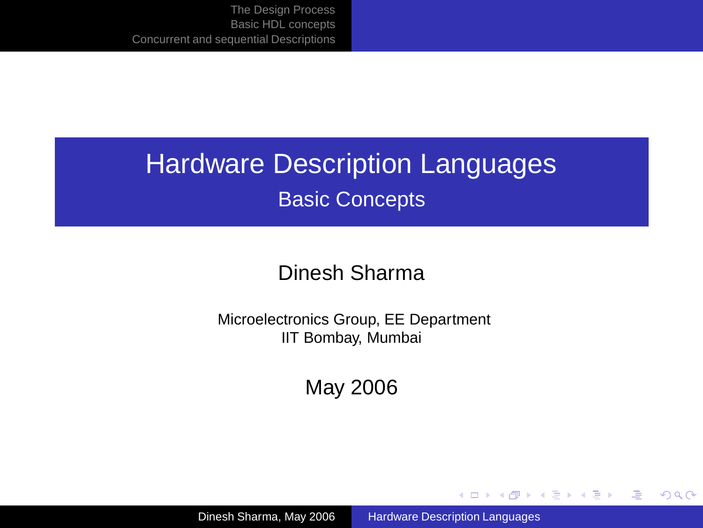# Hardware Description Languages Basic Concepts

#### Dinesh Sharma

Microelectronics Group, EE Department IIT Bombay, Mumbai

May 2006

Dinesh Sharma, May 2006 [Hardware Description Languages](#page-65-0)

<span id="page-0-0"></span> $\left\{ \begin{array}{ccc} 1 & 0 & 0 \\ 0 & 1 & 0 \end{array} \right.$ 

画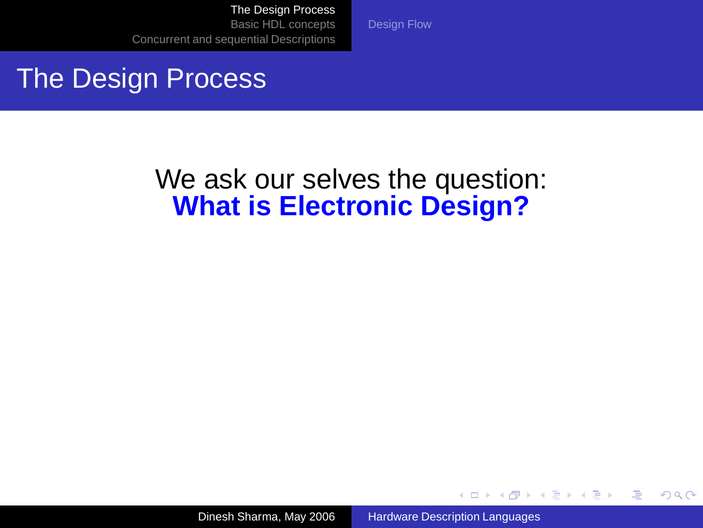#### The Design Process

We ask our selves the question: **What is Electronic Design?**

[Design Flow](#page-12-0)

Dinesh Sharma, May 2006 [Hardware Description Languages](#page-0-0)

<span id="page-1-0"></span>イロト イ押 トイヨ トイヨト

Φ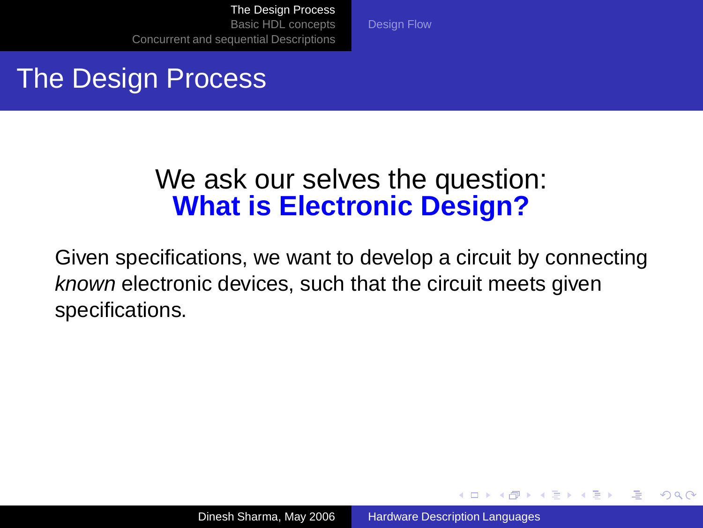[Design Flow](#page-12-0)

### The Design Process

#### We ask our selves the question: **What is Electronic Design?**

Given specifications, we want to develop a circuit by connecting known electronic devices, such that the circuit meets given specifications.

イロト イ押 トイヨ トイヨト

Φ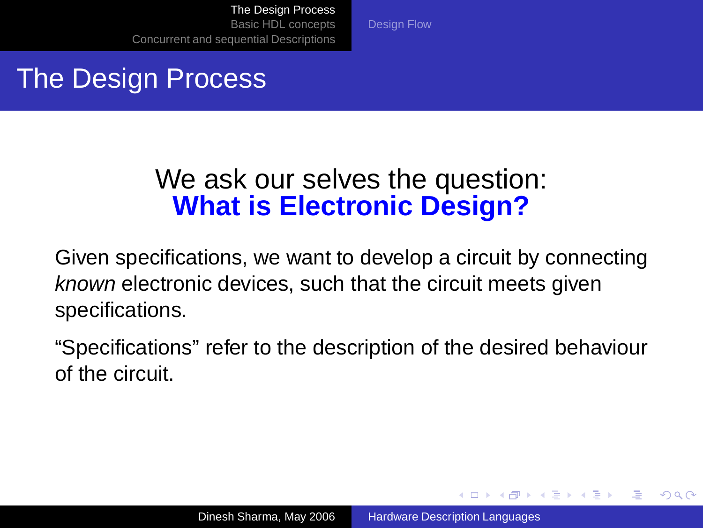[Design Flow](#page-12-0)

### The Design Process

#### We ask our selves the question: **What is Electronic Design?**

Given specifications, we want to develop a circuit by connecting known electronic devices, such that the circuit meets given specifications.

"Specifications" refer to the description of the desired behaviour of the circuit.

イロト イ押 トイヨ トイヨ トー

 $QQ$ 

э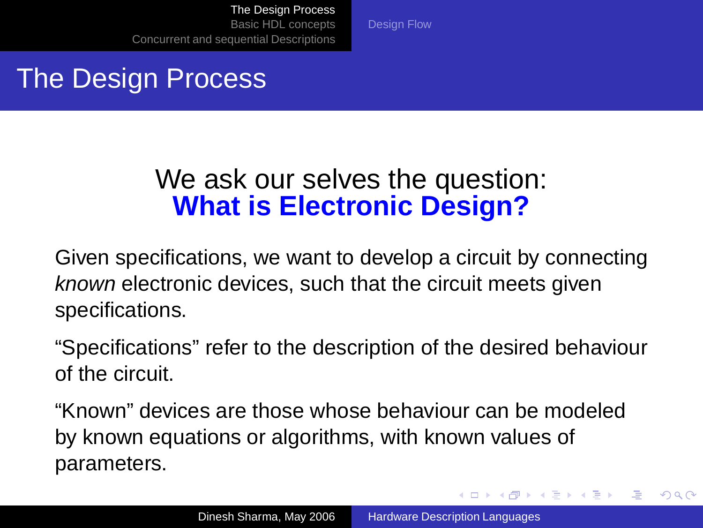[Design Flow](#page-12-0)

### The Design Process

#### We ask our selves the question: **What is Electronic Design?**

Given specifications, we want to develop a circuit by connecting known electronic devices, such that the circuit meets given specifications.

"Specifications" refer to the description of the desired behaviour of the circuit.

"Known" devices are those whose behaviour can be modeled by known equations or algorithms, with known values of parameters.

4 ロ ) 4 何 ) 4 ヨ ) 4 ヨ )

 $\Rightarrow$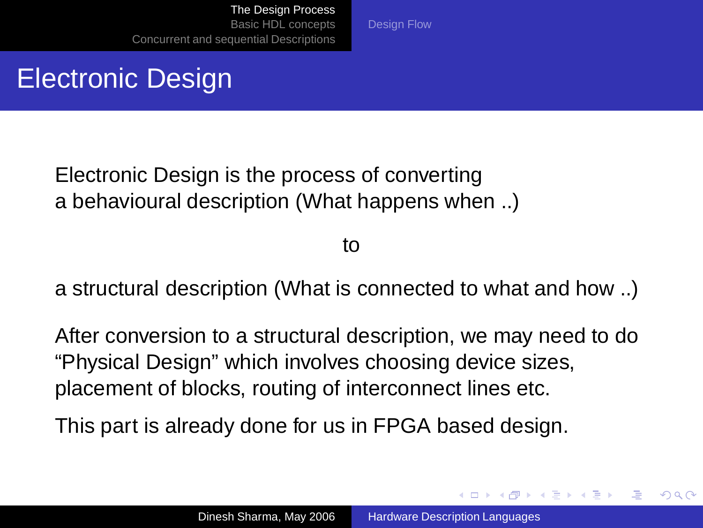# Electronic Design

Electronic Design is the process of converting a behavioural description (What happens when ..)

to

[Design Flow](#page-12-0)

a structural description (What is connected to what and how ..)

After conversion to a structural description, we may need to do "Physical Design" which involves choosing device sizes, placement of blocks, routing of interconnect lines etc.

This part is already done for us in FPGA based design.

イロト イ押 トイヨ トイヨト

Φ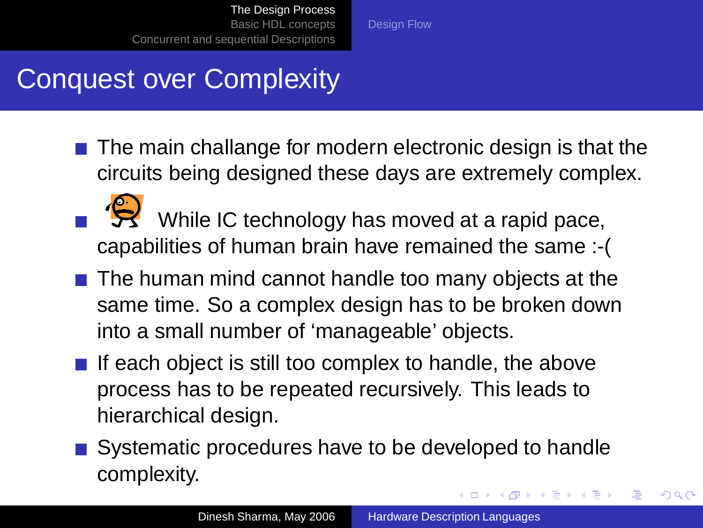[Design Flow](#page-12-0)

### Conquest over Complexity

- The main challange for modern electronic design is that the circuits being designed these days are extremely complex.
- $\mathcal{B}$  While IC technology has moved at a rapid pace, capabilities of human brain have remained the same :-(
- The human mind cannot handle too many objects at the same time. So a complex design has to be broken down into a small number of 'manageable' objects.
- If each object is still too complex to handle, the above process has to be repeated recursively. This leads to hierarchical design.
- Systematic procedures have to be developed to handle complexity.  $\left\{ \begin{array}{ccc} \square & \rightarrow & \left\{ \bigoplus \bullet & \leftarrow \emptyset \right\} \end{array} \right. \right\}$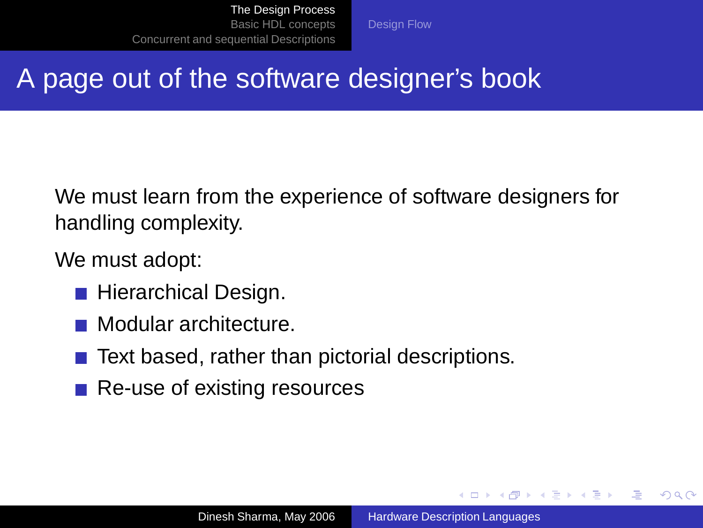[Design Flow](#page-12-0)

# A page out of the software designer's book

We must learn from the experience of software designers for handling complexity.

We must adopt:

- **Hierarchical Design.**
- **Modular architecture.**
- Text based, rather than pictorial descriptions.
- Re-use of existing resources

イロト イ押 トイヨ トイヨ トー

Φ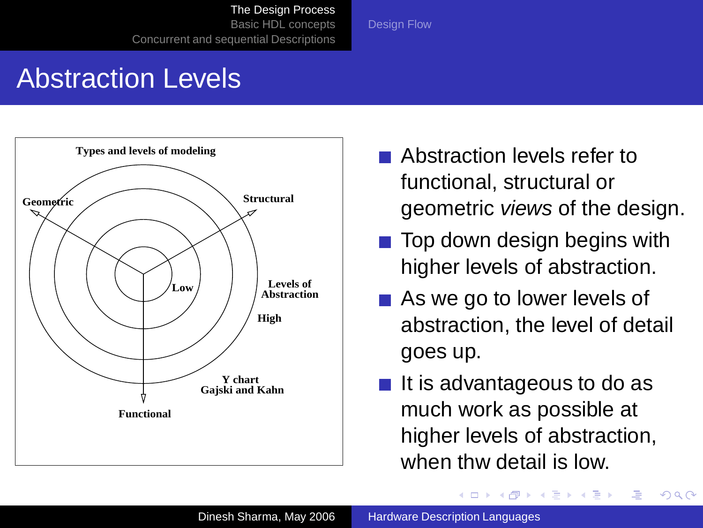[The Design Process](#page-1-0) [Basic HDL concepts](#page-17-0)

[Concurrent and sequential Descriptions](#page-57-0)

[Design Flow](#page-12-0)

Abstraction Levels



- Abstraction levels refer to functional, structural or geometric views of the design.
- $\blacksquare$  Top down design begins with higher levels of abstraction.
- As we go to lower levels of abstraction, the level of detail goes up.
- It is advantageous to do as much work as possible at higher levels of abstraction, when thw detail is low.

 $\left\{ \begin{array}{ccc} 1 & 0 & 0 \\ 0 & 1 & 0 \end{array} \right.$ 

Ξ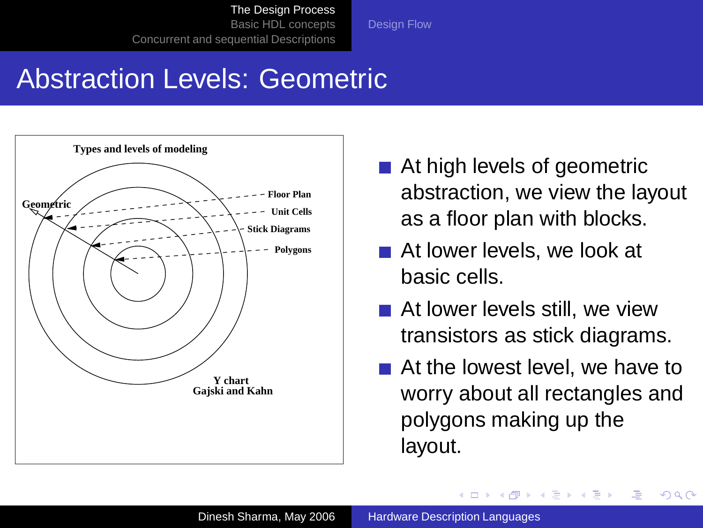[Design Flow](#page-12-0)

# Abstraction Levels: Geometric



- At high levels of geometric abstraction, we view the layout as a floor plan with blocks.
- At lower levels, we look at basic cells.
- At lower levels still, we view transistors as stick diagrams.
- At the lowest level, we have to worry about all rectangles and polygons making up the layout.

→ 重 → → 重 →

 $QQ$ 

**◆ロト ◆母ト**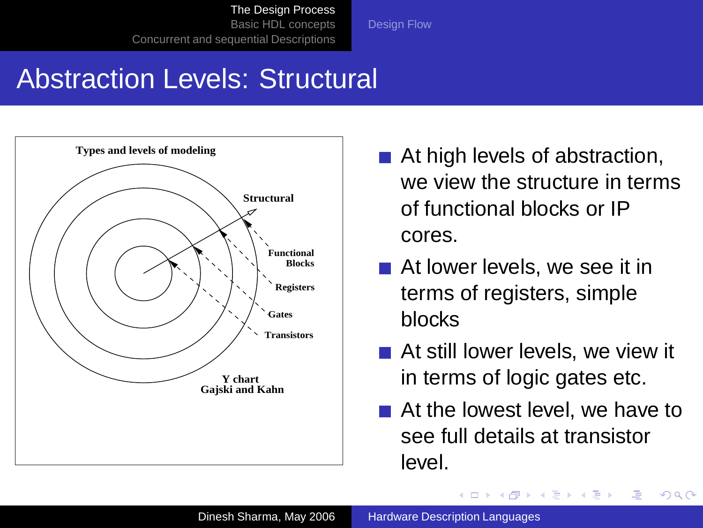[Design Flow](#page-12-0)

# Abstraction Levels: Structural



- At high levels of abstraction, we view the structure in terms of functional blocks or IP cores.
- At lower levels, we see it in terms of registers, simple blocks
- At still lower levels, we view it in terms of logic gates etc.
- At the lowest level, we have to see full details at transistor level.

イロト イ押 トイヨ トイヨ トー

Φ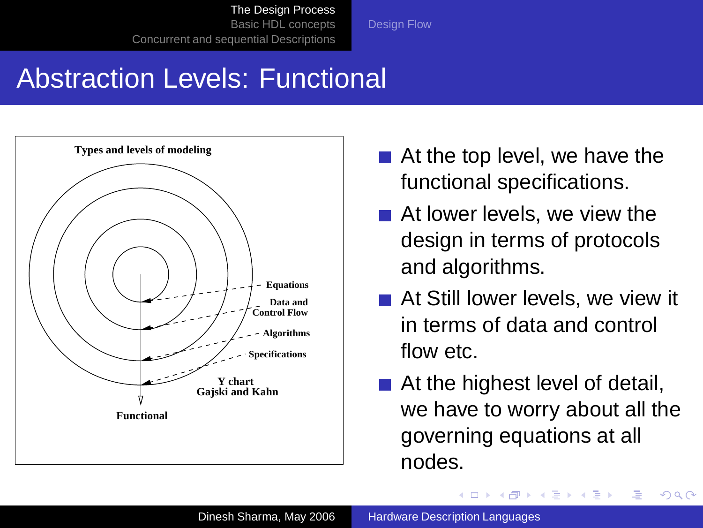[Design Flow](#page-12-0)

# Abstraction Levels: Functional



- At the top level, we have the functional specifications.
- At lower levels, we view the design in terms of protocols and algorithms.
- At Still lower levels, we view it in terms of data and control flow etc.
- At the highest level of detail, we have to worry about all the governing equations at all nodes.

イロト イ押 トイヨ トイヨト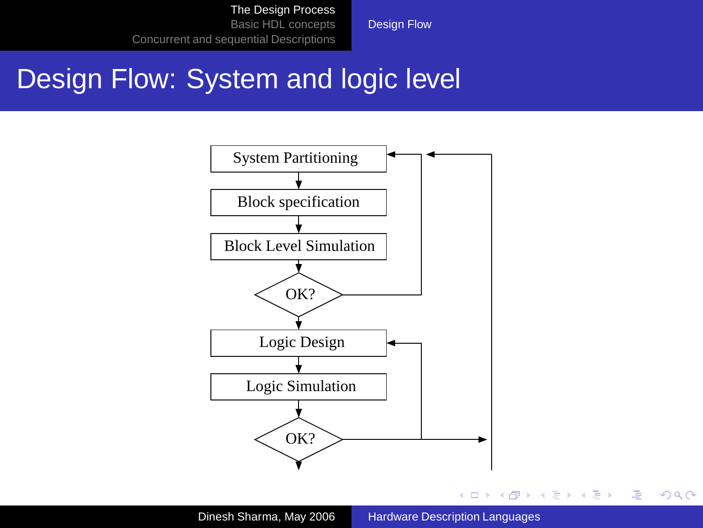[Design Flow](#page-12-0)

### Design Flow: System and logic level

<span id="page-12-0"></span>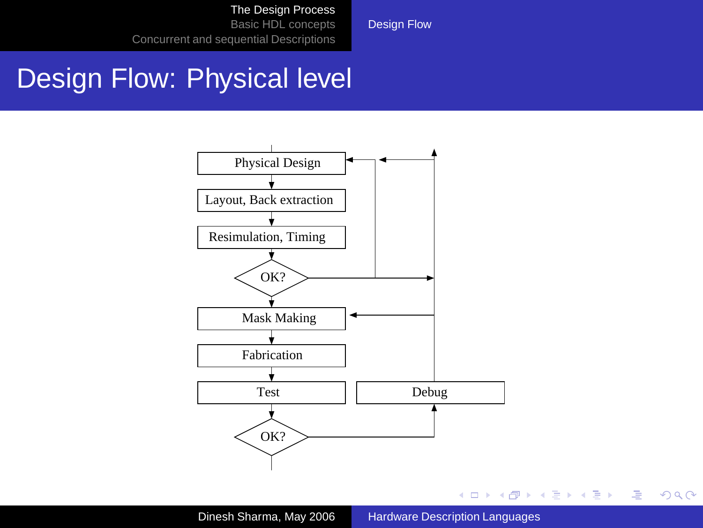[Design Flow](#page-12-0)

#### Design Flow: Physical level

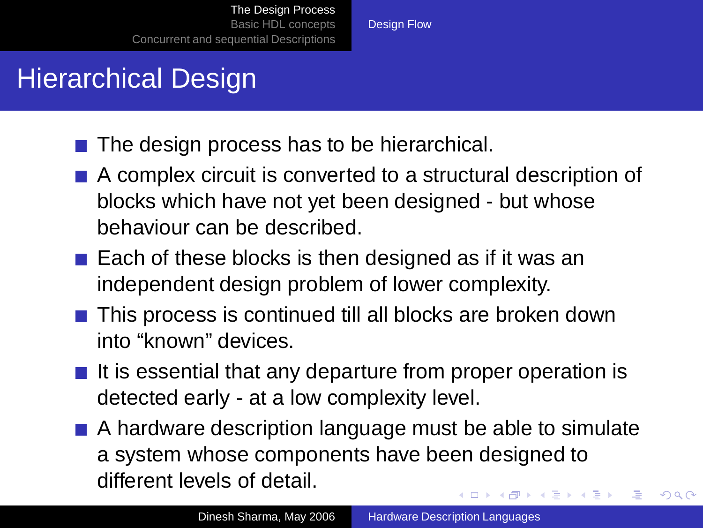# Hierarchical Design

- $\blacksquare$  The design process has to be hierarchical.
- A complex circuit is converted to a structural description of blocks which have not yet been designed - but whose behaviour can be described.

[Design Flow](#page-12-0)

- Each of these blocks is then designed as if it was an independent design problem of lower complexity.
- This process is continued till all blocks are broken down into "known" devices.
- $\blacksquare$  It is essential that any departure from proper operation is detected early - at a low complexity level.
- A hardware description language must be able to simulate a system whose components have been designed to different levels of detail.  $\left\{ \begin{array}{ccc} \square & \rightarrow & \left\{ \bigoplus \bullet & \leftarrow \emptyset \right\} \end{array} \right. \right\}$ Φ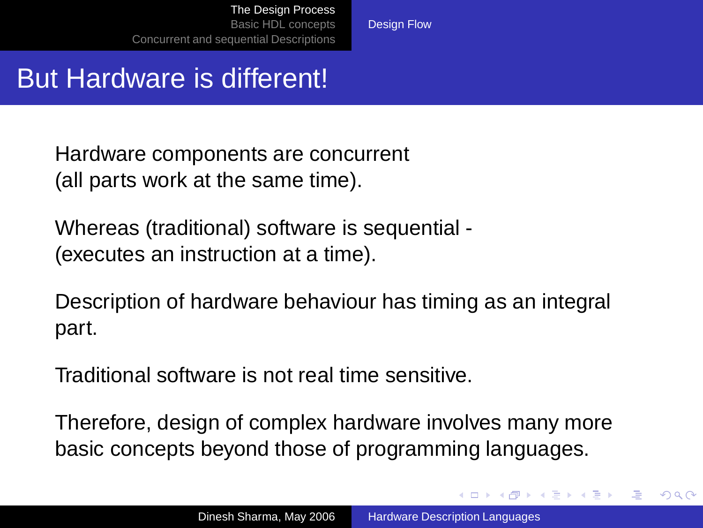[Design Flow](#page-12-0)

### But Hardware is different!

Hardware components are concurrent (all parts work at the same time).

Whereas (traditional) software is sequential - (executes an instruction at a time).

Description of hardware behaviour has timing as an integral part.

Traditional software is not real time sensitive.

Therefore, design of complex hardware involves many more basic concepts beyond those of programming languages.

 $\left\{ \begin{array}{ccc} \square & \rightarrow & \left\{ \bigoplus \bullet & \leftarrow \emptyset \right\} \end{array} \right. \right\}$ 

Φ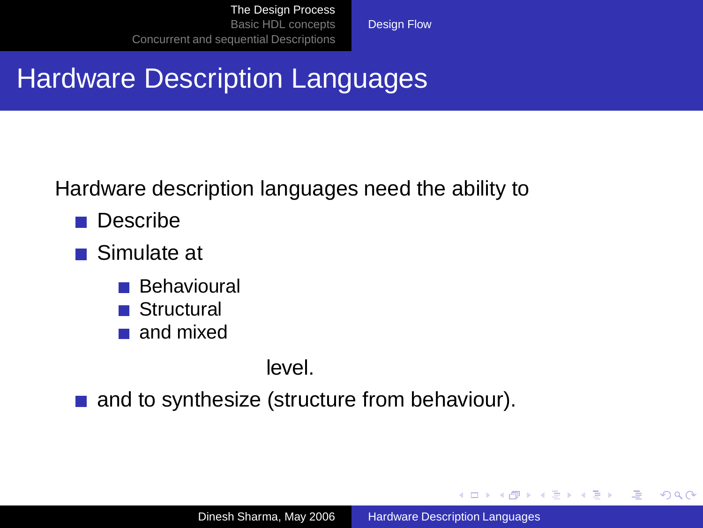[Design Flow](#page-12-0)

# Hardware Description Languages

Hardware description languages need the ability to

- **Describe**
- Simulate at
	- **Behavioural**
	- Structural
	- and mixed

level.

and to synthesize (structure from behaviour).

<span id="page-16-0"></span> $\left\{ \begin{array}{ccc} \square & \rightarrow & \left\{ \bigoplus \bullet & \leftarrow \emptyset \right\} \end{array} \right. \right\}$ 

画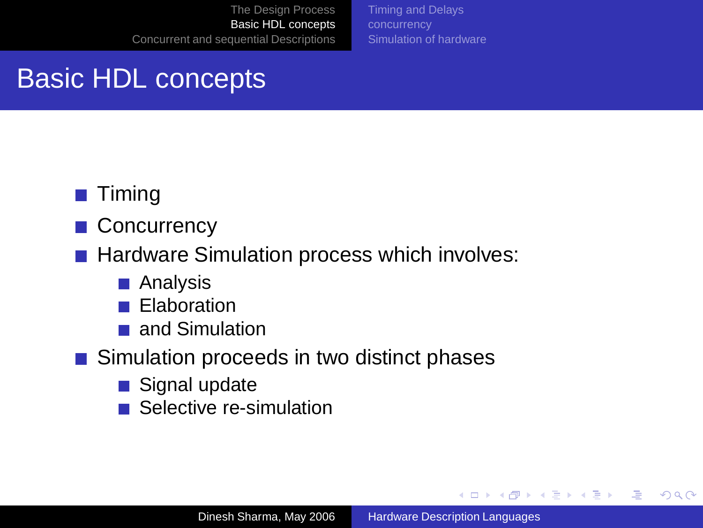[Timing and Delays](#page-19-0) [Simulation of hardware](#page-26-0)

# Basic HDL concepts

#### **Timing**

■ Concurrency

■ Hardware Simulation process which involves:

- Analysis
- Elaboration
- and Simulation  $\sim 10$

■ Simulation proceeds in two distinct phases

- Signal update
- Selective re-simulation

<span id="page-17-0"></span>イロト イ押 トイヨ トイヨ トー

画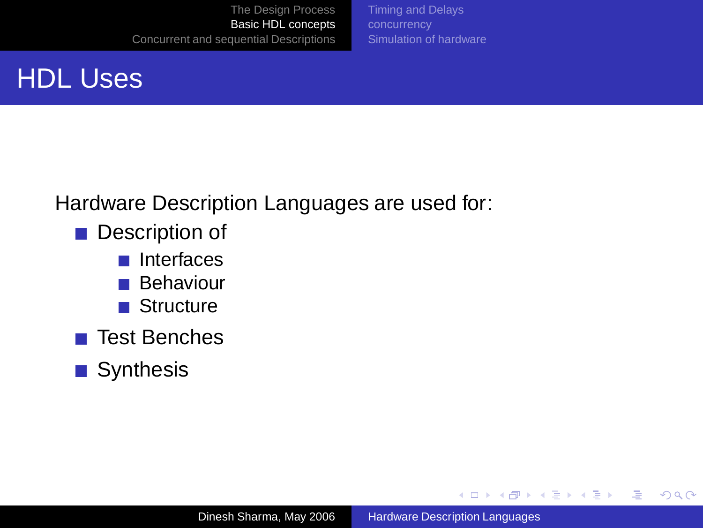[Timing and Delays](#page-19-0) [Simulation of hardware](#page-26-0)

# HDL Uses

Hardware Description Languages are used for:

- Description of
	- Interfaces
	- Behaviour
	- **Structure**
- **Test Benches**
- **■** Synthesis

**K 日 ト K 伊 ト K ヨ ト K ヨ ト** 

画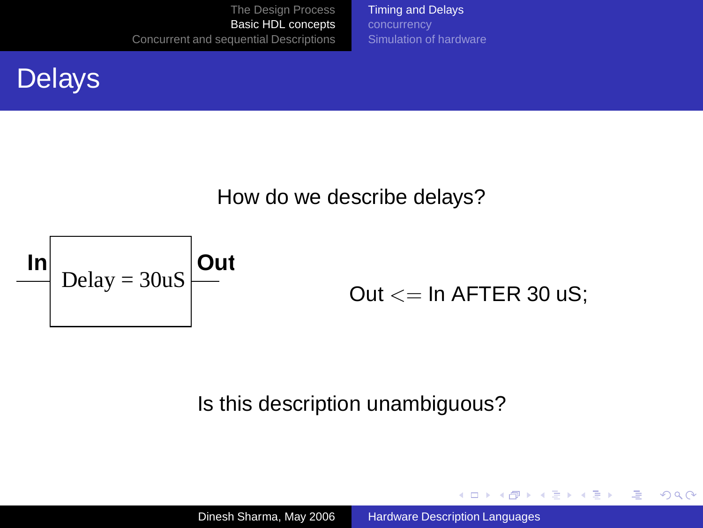[Timing and Delays](#page-19-0) [Simulation of hardware](#page-26-0)

#### **Delays**

#### How do we describe delays?



#### Out  $<=$  In AFTER 30 uS;

<span id="page-19-0"></span>イロト イ押 トイヨ トイヨト

Φ

 $2Q$ 

#### Is this description unambiguous?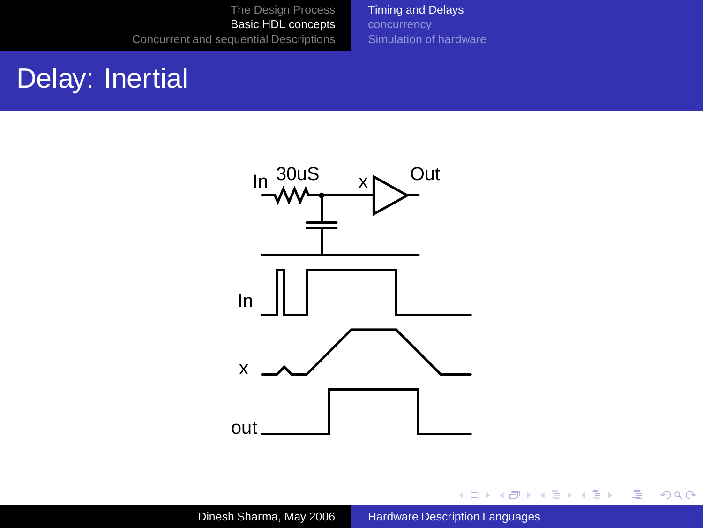[Timing and Delays](#page-19-0) [Simulation of hardware](#page-26-0)

### Delay: Inertial



イロトメ 御 トメ 重 トメ 重 トー

唐.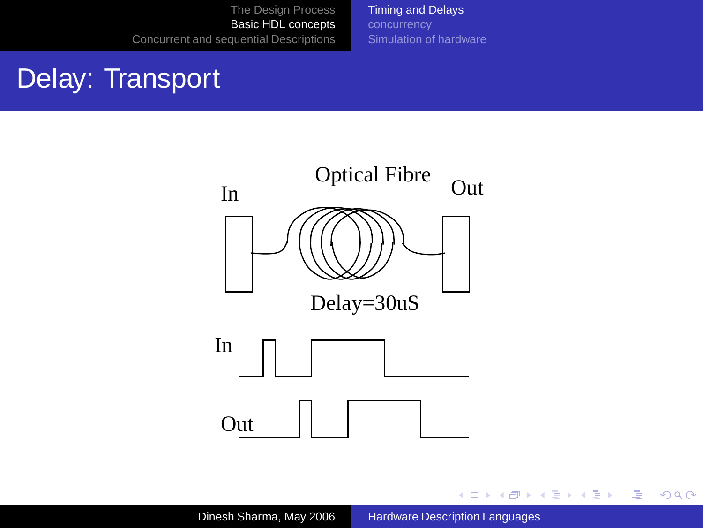[Timing and Delays](#page-19-0) [Simulation of hardware](#page-26-0)

#### Delay: Transport



イロト イ部 トイモト イモトー

● 1  $2QQ$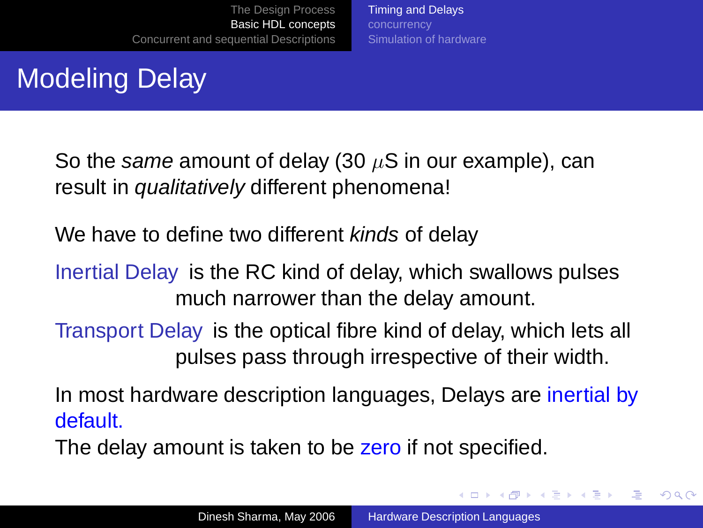[Timing and Delays](#page-19-0) [Simulation of hardware](#page-26-0)

# Modeling Delay

So the same amount of delay (30  $\mu$ S in our example), can result in *qualitatively* different phenomena!

We have to define two different kinds of delay

Inertial Delay is the RC kind of delay, which swallows pulses much narrower than the delay amount.

Transport Delay is the optical fibre kind of delay, which lets all pulses pass through irrespective of their width.

In most hardware description languages, Delays are inertial by default.

The delay amount is taken to be zero if not specified.

**K 日 ト K 伊 ト K ヨ ト K ヨ ト**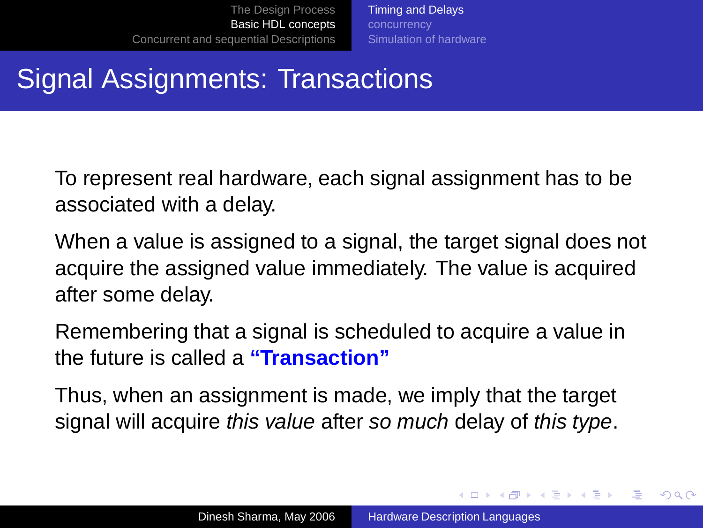[Timing and Delays](#page-19-0) [Simulation of hardware](#page-26-0)

# Signal Assignments: Transactions

To represent real hardware, each signal assignment has to be associated with a delay.

When a value is assigned to a signal, the target signal does not acquire the assigned value immediately. The value is acquired after some delay.

Remembering that a signal is scheduled to acquire a value in the future is called a **"Transaction"**

Thus, when an assignment is made, we imply that the target signal will acquire this value after so much delay of this type.

イロト イ押 トイヨ トイヨト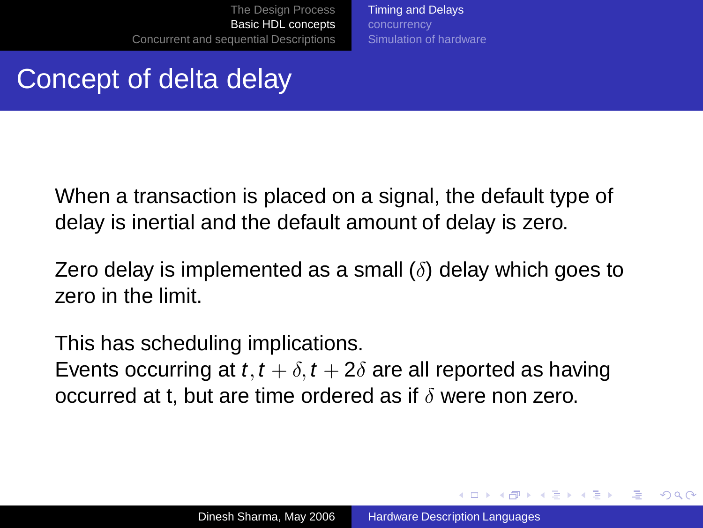[Timing and Delays](#page-19-0) [Simulation of hardware](#page-26-0)

#### Concept of delta delay

When a transaction is placed on a signal, the default type of delay is inertial and the default amount of delay is zero.

Zero delay is implemented as a small  $(\delta)$  delay which goes to zero in the limit.

This has scheduling implications. Events occurring at t,  $t + \delta$ ,  $t + 2\delta$  are all reported as having occurred at t, but are time ordered as if  $\delta$  were non zero.

イロト イ押 トイヨ トイヨ トー

 $\Omega$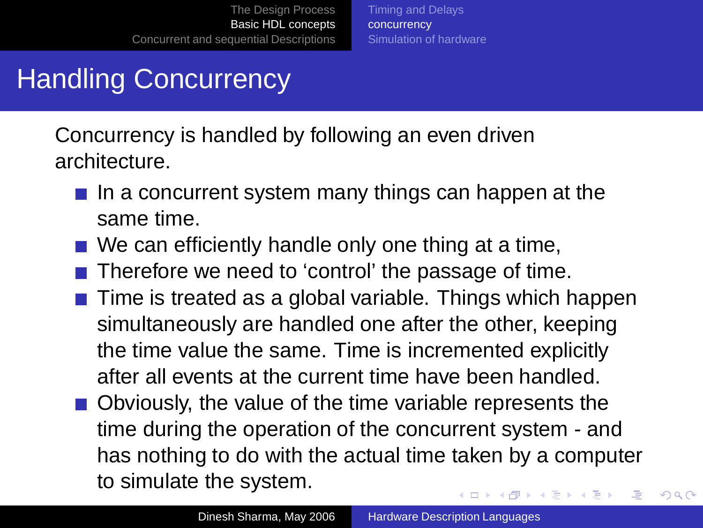[Timing and Delays](#page-19-0) [concurrency](#page-25-0) [Simulation of hardware](#page-26-0)

# Handling Concurrency

Concurrency is handled by following an even driven architecture.

- $\blacksquare$  In a concurrent system many things can happen at the same time.
- $\blacksquare$  We can efficiently handle only one thing at a time,
- $\blacksquare$  Therefore we need to 'control' the passage of time.
- $\blacksquare$  Time is treated as a global variable. Things which happen simultaneously are handled one after the other, keeping the time value the same. Time is incremented explicitly after all events at the current time have been handled.
- <span id="page-25-0"></span>Obviously, the value of the time variable represents the time during the operation of the concurrent system - and has nothing to do with the actual time taken by a computer to simulate the system. イロト イ押 トイヨ トイヨ トー Э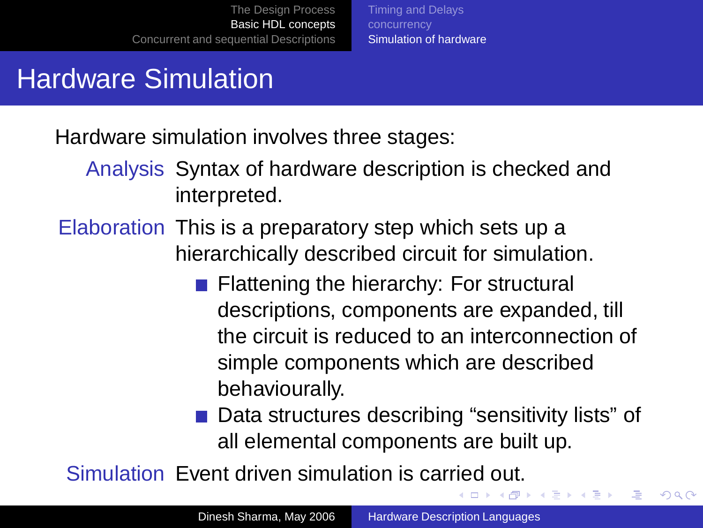[Timing and Delays](#page-19-0) [Simulation of hardware](#page-26-0)

### Hardware Simulation

Hardware simulation involves three stages:

Analysis Syntax of hardware description is checked and interpreted.

Elaboration This is a preparatory step which sets up a hierarchically described circuit for simulation.

- **Flattening the hierarchy: For structural** descriptions, components are expanded, till the circuit is reduced to an interconnection of simple components which are described behaviourally.
- Data structures describing "sensitivity lists" of all elemental components are built up.

<span id="page-26-0"></span> $\Rightarrow$ 

 $2Q$ 

Simulation Event driven simulation is carried out.  $\Box \rightarrow 4 \overline{B} \rightarrow 4 \overline{B} \rightarrow 4 \overline{B} \rightarrow 1$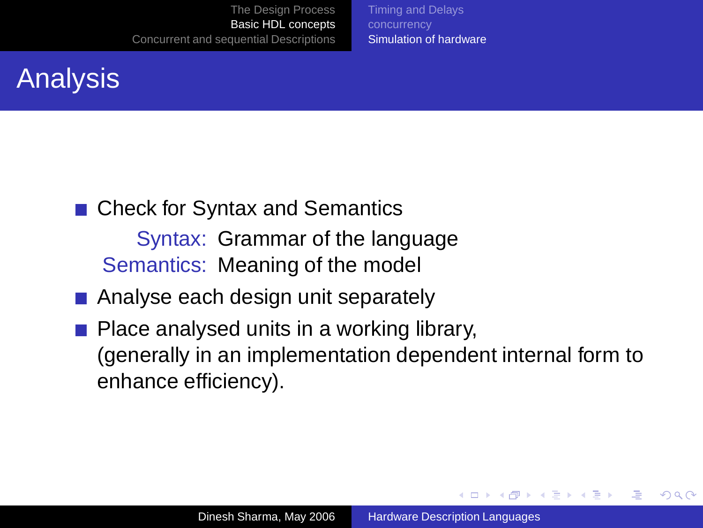[Timing and Delays](#page-19-0) [Simulation of hardware](#page-26-0)

# Analysis

■ Check for Syntax and Semantics

Syntax: Grammar of the language Semantics: Meaning of the model

- Analyse each design unit separately
- Place analysed units in a working library, (generally in an implementation dependent internal form to enhance efficiency).

イロト イ押 トイヨ トイヨト

Φ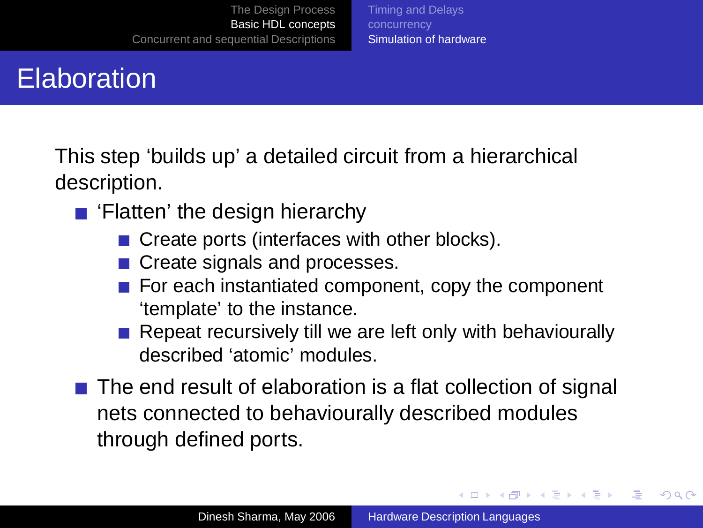#### [Timing and Delays](#page-19-0) [Simulation of hardware](#page-26-0)

# **Elaboration**

This step 'builds up' a detailed circuit from a hierarchical description.

- 'Flatten' the design hierarchy
	- Create ports (interfaces with other blocks).
	- Create signals and processes.
	- For each instantiated component, copy the component 'template' to the instance.
	- $\blacksquare$  Repeat recursively till we are left only with behaviourally described 'atomic' modules.
- The end result of elaboration is a flat collection of signal nets connected to behaviourally described modules through defined ports.

イロト イ押 トイヨ トイヨ トー

Φ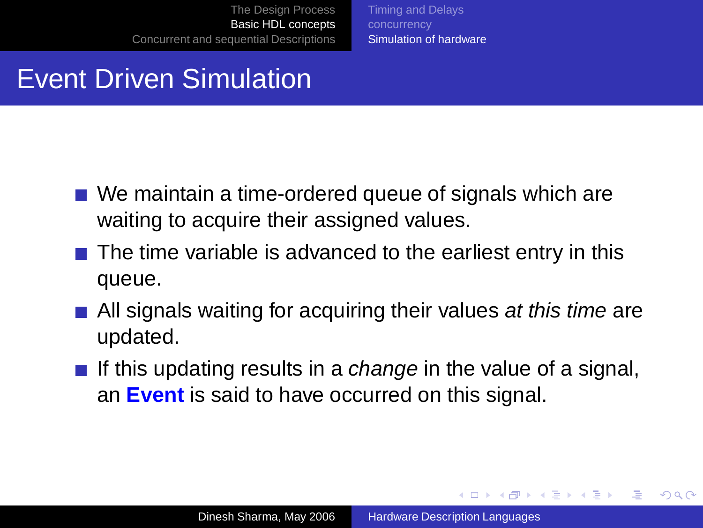[Timing and Delays](#page-19-0) [Simulation of hardware](#page-26-0)

#### Event Driven Simulation

- We maintain a time-ordered queue of signals which are waiting to acquire their assigned values.
- $\blacksquare$  The time variable is advanced to the earliest entry in this queue.
- $\blacksquare$  All signals waiting for acquiring their values at this time are updated.
- If this updating results in a *change* in the value of a signal, an **Event** is said to have occurred on this signal.

**≮ロト (何) (日) (日)** 

 $\Rightarrow$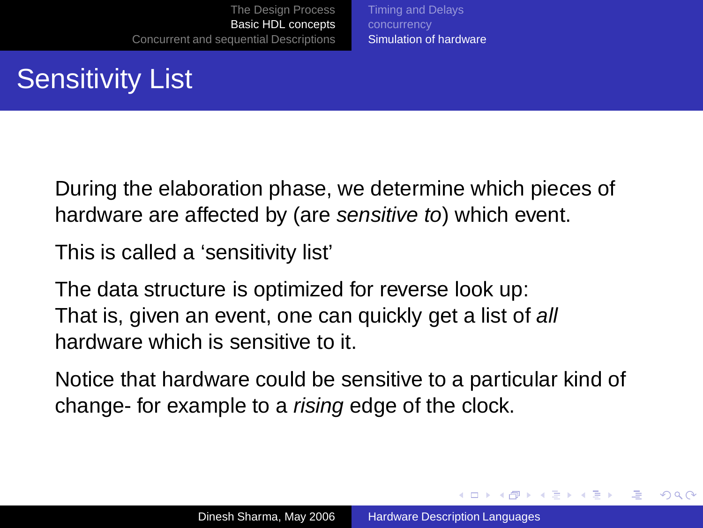[Timing and Delays](#page-19-0) [Simulation of hardware](#page-26-0)

# Sensitivity List

During the elaboration phase, we determine which pieces of hardware are affected by (are sensitive to) which event.

This is called a 'sensitivity list'

The data structure is optimized for reverse look up: That is, given an event, one can quickly get a list of all hardware which is sensitive to it.

Notice that hardware could be sensitive to a particular kind of change- for example to a rising edge of the clock.

イロト イ押 トイヨ トイヨト

 $2Q$ 

э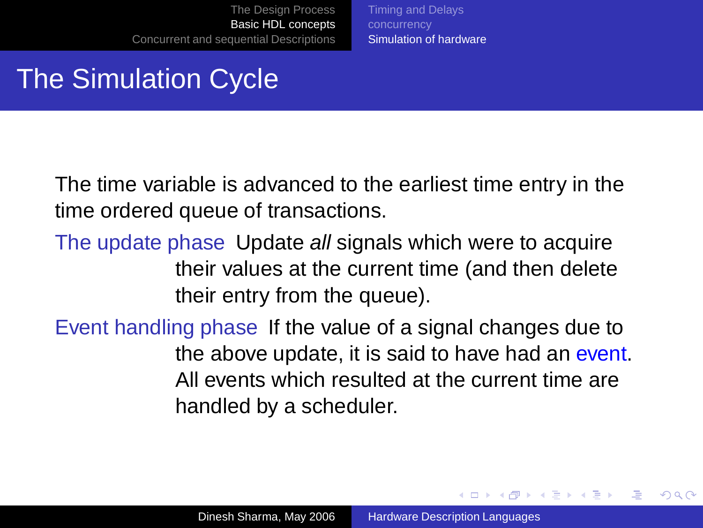[Timing and Delays](#page-19-0) [Simulation of hardware](#page-26-0)

### The Simulation Cycle

The time variable is advanced to the earliest time entry in the time ordered queue of transactions.

- The update phase Update all signals which were to acquire their values at the current time (and then delete their entry from the queue).
- Event handling phase If the value of a signal changes due to the above update, it is said to have had an event. All events which resulted at the current time are handled by a scheduler.

 $\left\{ \begin{array}{ccc} \square & \rightarrow & \left\{ \bigoplus \bullet & \leftarrow \emptyset \right\} \end{array} \right. \right\}$ 

Φ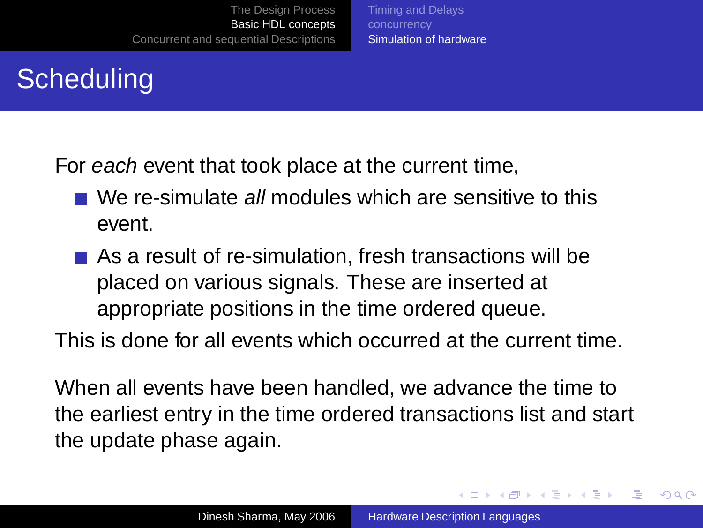# **Scheduling**

For each event that took place at the current time,

■ We re-simulate all modules which are sensitive to this event.

[Timing and Delays](#page-19-0) [Simulation of hardware](#page-26-0)

As a result of re-simulation, fresh transactions will be placed on various signals. These are inserted at appropriate positions in the time ordered queue.

This is done for all events which occurred at the current time.

When all events have been handled, we advance the time to the earliest entry in the time ordered transactions list and start the update phase again.

 $\left\{ \begin{array}{ccc} \square & \rightarrow & \left\{ \bigoplus \bullet & \leftarrow \emptyset \right\} \end{array} \right. \right\}$ 

Φ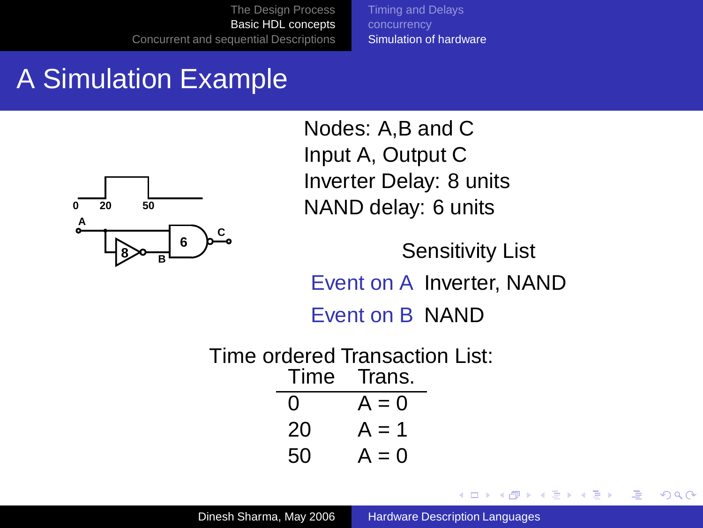[Timing and Delays](#page-19-0) [Simulation of hardware](#page-26-0)

# A Simulation Example



Nodes: A,B and C Input A, Output C Inverter Delay: 8 units NAND delay: 6 units

Sensitivity List Event on A Inverter, NAND Event on B NAND

医单头 化重变

**← ロ ▶ + 伊 ▶** 

Ξ

 $2Q$ 

Time ordered Transaction List: Time Trans. 0  $A = 0$  $20 \text{ A} = 1$  $50 \text{ A} = 0$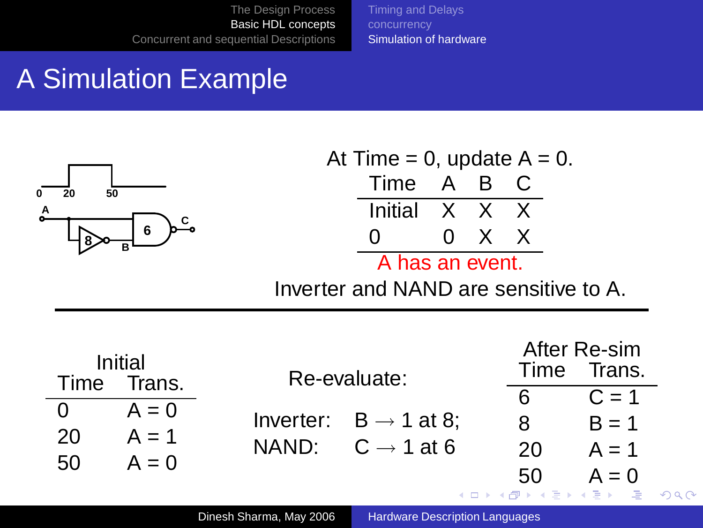[Timing and Delays](#page-19-0) [Simulation of hardware](#page-26-0)

# A Simulation Example



|                 | At Time = 0, update $A = 0$ . |  |       |  |  |  |  |  |  |
|-----------------|-------------------------------|--|-------|--|--|--|--|--|--|
|                 | Time A B C                    |  |       |  |  |  |  |  |  |
|                 | Initial X X X                 |  |       |  |  |  |  |  |  |
|                 | $\mathbf{\Omega}$             |  | 0 X X |  |  |  |  |  |  |
| A has an event. |                               |  |       |  |  |  |  |  |  |

<span id="page-34-0"></span>Inverter and NAND are sensitive to A.

| Initial<br>Time Trans. |         | Re-evaluate:                      | Time                | After Re-sim<br>Trans. |  |  |
|------------------------|---------|-----------------------------------|---------------------|------------------------|--|--|
|                        |         |                                   | 6                   | $C = 1$                |  |  |
|                        | $A = 0$ |                                   |                     |                        |  |  |
| 20                     | $A = 1$ | Inverter: $B \rightarrow 1$ at 8; | 8                   | $B = 1$                |  |  |
|                        |         | NAND: $C \rightarrow 1$ at 6      | 20                  | $A = 1$                |  |  |
| 50                     | $A = 0$ |                                   |                     |                        |  |  |
|                        |         |                                   | 50                  | $A = 0$                |  |  |
|                        |         |                                   | イロト イ母 トイヨ トイヨ トーヨー |                        |  |  |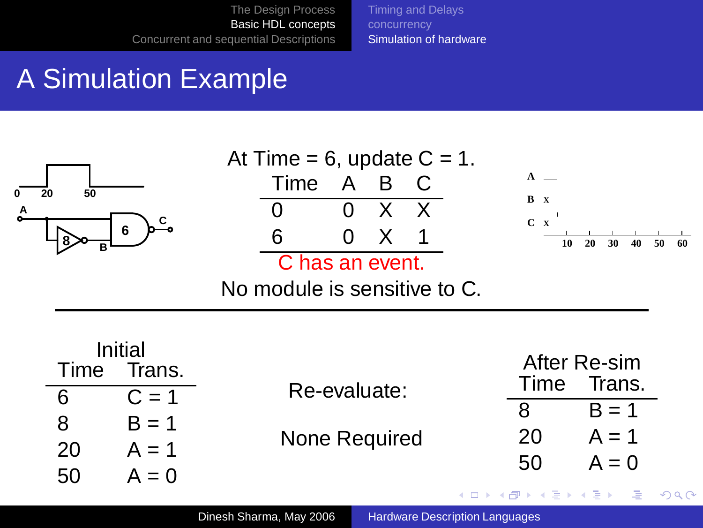[Timing and Delays](#page-19-0) [Simulation of hardware](#page-26-0)

# A Simulation Example

20  $A = 1$  $50 \text{ A} = 0$ 

| 50<br>20<br>А<br>6<br>в                                 | At Time = $6$ , update $C = 1$ .<br>A B<br>Time<br>X<br>x<br>6<br>0<br>C has an event.<br>No module is sensitive to C. | B X<br>$C \times$<br>20<br>30<br>10<br>50<br>40<br>60 |
|---------------------------------------------------------|------------------------------------------------------------------------------------------------------------------------|-------------------------------------------------------|
| Initial<br>Trans.<br>Time<br>6<br>$C = 1$<br>8<br>B = 1 | Re-evaluate:                                                                                                           | After Re-sim<br>Time<br>Trans.<br>8<br>$=$            |

None Required

Dinesh Sharma, May 2006 [Hardware Description Languages](#page-0-0)

 $20 \text{ A} = 1$  $50 \text{ A} = 0$ 

唐

 $299$ 

<span id="page-35-0"></span>K ロ X K 個 X K 差 X K 差 X 。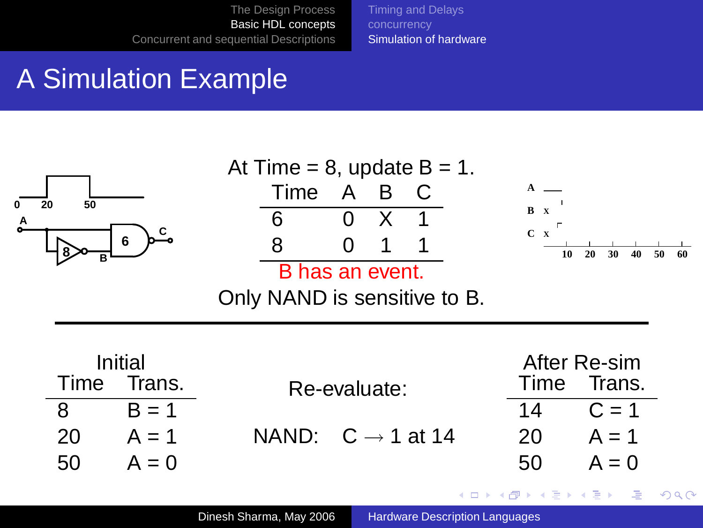[Timing and Delays](#page-19-0) [Simulation of hardware](#page-26-0)

# A Simulation Example

 $50 \text{ A} = 0$ 



50  $A = 0$ 

 $\Rightarrow$ 

 $299$ 

 $\left\{ \begin{array}{ccc} 1 & 0 & 0 \\ 0 & 1 & 0 \end{array} \right.$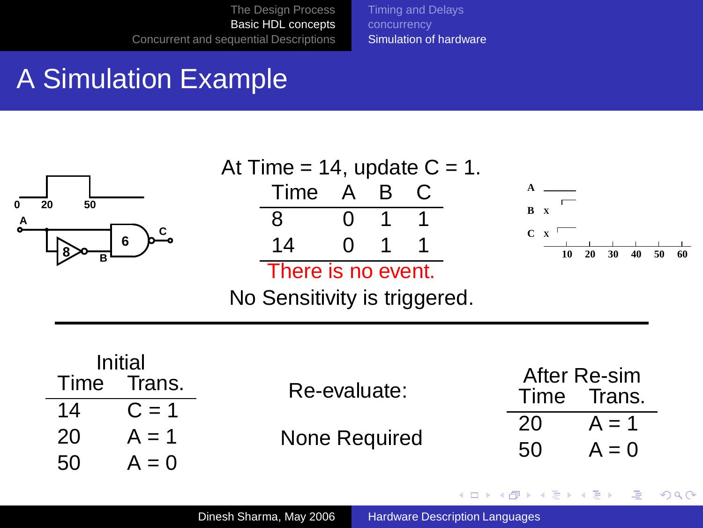[Timing and Delays](#page-19-0) [Simulation of hardware](#page-26-0)

# A Simulation Example



**≮ロト ⊀伊ト ⊀ ヨト ⊀ ヨト** 

Ξ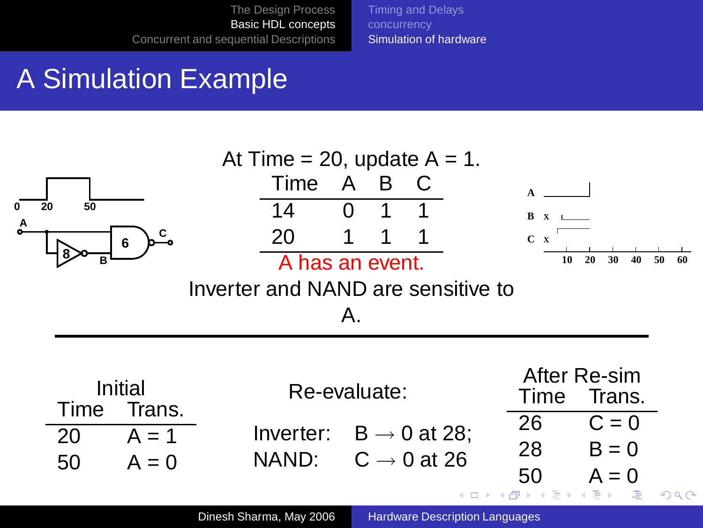<span id="page-38-0"></span>[Timing and Delays](#page-19-0) [Simulation of hardware](#page-26-0)

# A Simulation Example

| At Time = 20, update $A = 1$ . |         |                                    |                 |              |                         |                                    |  |             |                        |          |
|--------------------------------|---------|------------------------------------|-----------------|--------------|-------------------------|------------------------------------|--|-------------|------------------------|----------|
|                                |         |                                    | Time            | A            | B                       |                                    |  |             |                        |          |
| 50<br>20                       |         |                                    | 14              | $\mathbf{0}$ |                         |                                    |  | $B \times$  |                        |          |
|                                | 6       |                                    | 20              | 1            |                         |                                    |  | $C \times$  |                        |          |
| в                              |         |                                    | A has an event. |              |                         |                                    |  | 10          | 20<br>30<br>40         | 50<br>60 |
|                                |         | Inverter and NAND are sensitive to |                 |              |                         |                                    |  |             |                        |          |
|                                |         |                                    |                 | Α.           |                         |                                    |  |             |                        |          |
|                                |         |                                    |                 |              |                         |                                    |  |             |                        |          |
|                                | Initial |                                    | Re-evaluate:    |              |                         |                                    |  | Time        | After Re-sim<br>Trans. |          |
| Time                           | Trans.  |                                    |                 |              |                         |                                    |  | 26          | $C = 0$                |          |
| 20                             | $A = 1$ |                                    | NAND:           |              |                         | Inverter: $B \rightarrow 0$ at 28; |  | 28          | $B = 0$                |          |
| 50                             | $A = 0$ |                                    |                 |              | $C \rightarrow 0$ at 26 |                                    |  | 50          | $A = 0$                |          |
|                                |         |                                    |                 |              |                         |                                    |  | イロト イ団ト イヨト | - 국)<br>- 4 B K        |          |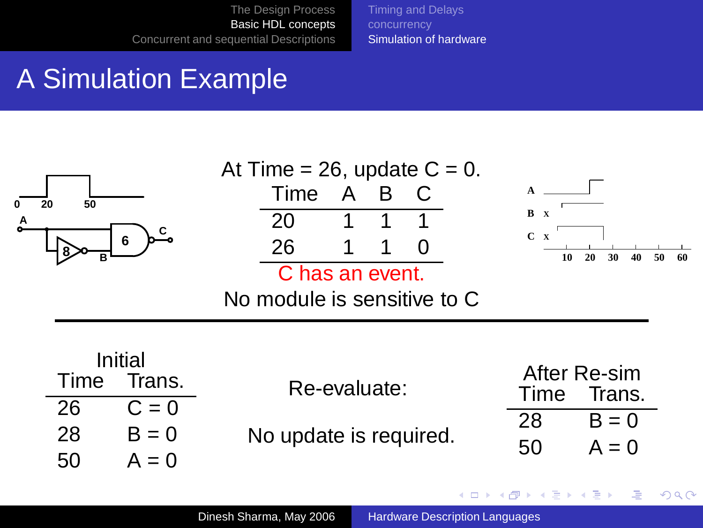[Timing and Delays](#page-19-0) [Simulation of hardware](#page-26-0)

# A Simulation Example

| 20<br>Α | 50<br>B                | 6                                                  | At Time = 26, update $C = 0$ .<br>Time<br>20<br>26<br>C has an event.<br>No module is sensitive to C | A | B | C<br>$\mathbf{0}$ | B X<br>$C \times$<br>10          | 20<br>30                     | 40<br>50 | 60 |
|---------|------------------------|----------------------------------------------------|------------------------------------------------------------------------------------------------------|---|---|-------------------|----------------------------------|------------------------------|----------|----|
|         | Time<br>26<br>28<br>50 | Initial<br>Trans.<br>$C = 0$<br>$B = 0$<br>$A = 0$ | Re-evaluate:<br>No update is required.                                                               |   |   |                   | After Re-sim<br>Time<br>28<br>50 | Trans.<br>$B = 0$<br>$A = 0$ |          |    |

<span id="page-39-0"></span>イロトメ 御 トメ 君 トメ 君 トッ

■  $299$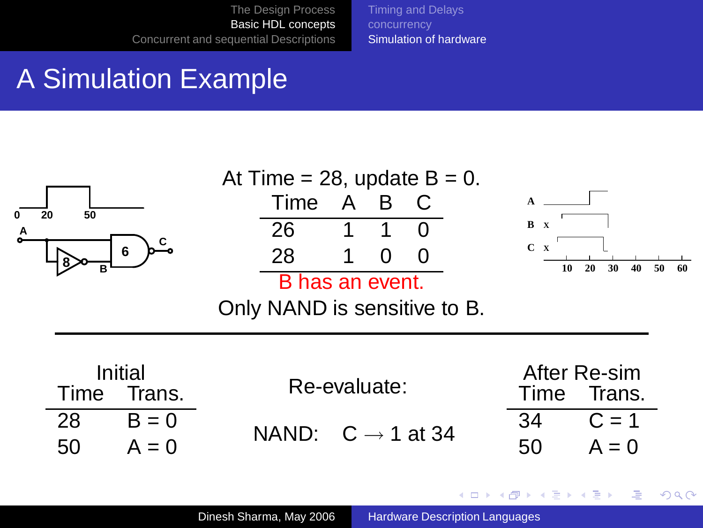[Timing and Delays](#page-19-0) [Simulation of hardware](#page-26-0)

# A Simulation Example



**≮ロト ⊀伊ト ⊀ ヨト ⊀ ヨト** 

Ξ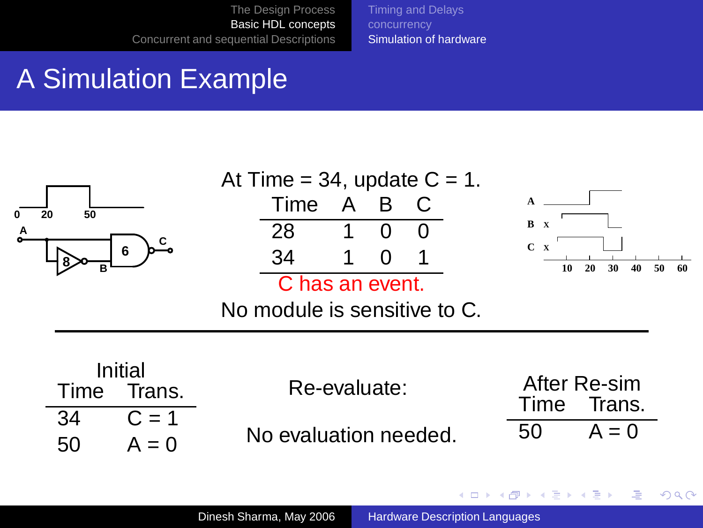[Timing and Delays](#page-19-0) [Simulation of hardware](#page-26-0)

# A Simulation Example



**K ロ ▶ K 何 ▶ K ヨ ▶ K ヨ** 

Ξ

**S**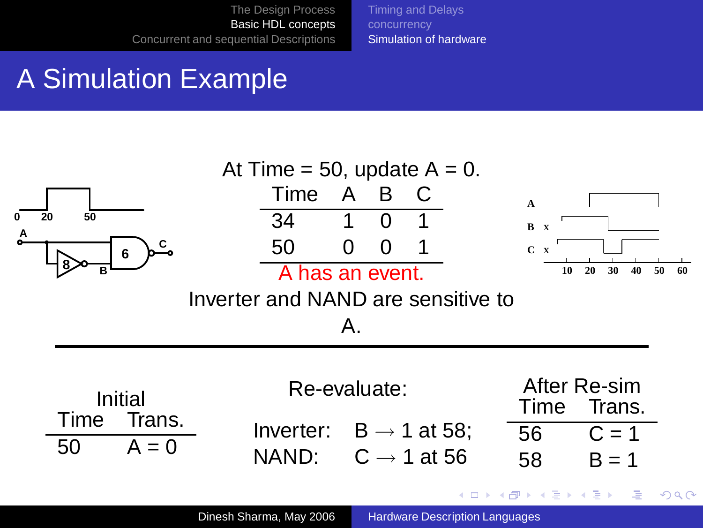[Timing and Delays](#page-19-0) [Simulation of hardware](#page-26-0)

# A Simulation Example



Dinesh Sharma, May 2006 [Hardware Description Languages](#page-0-0)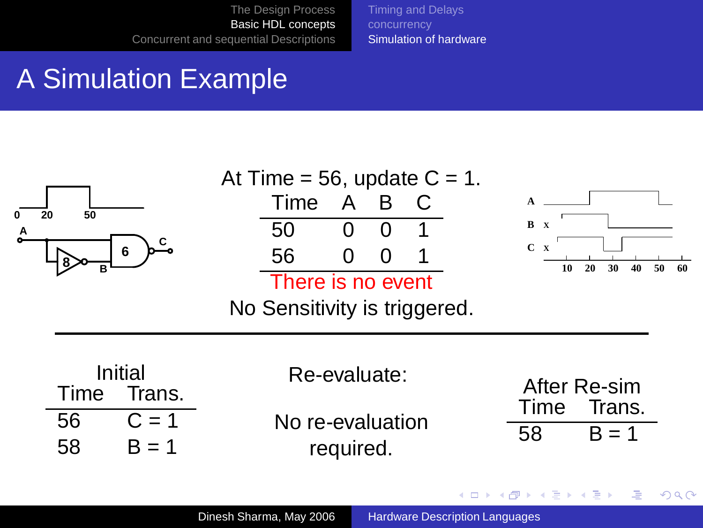[Timing and Delays](#page-19-0) [Simulation of hardware](#page-26-0)

# A Simulation Example

| 50<br>А<br>6<br>в                                           | At Time = 56, update $C = 1$ .<br>Time<br>50<br>56<br>There is no event<br>No Sensitivity is triggered. | A<br>0<br>0                                   | B<br>∩<br>0 | C.         | B x<br>$C \times$<br>10           | 20<br>30<br>40 | 50<br>60 |
|-------------------------------------------------------------|---------------------------------------------------------------------------------------------------------|-----------------------------------------------|-------------|------------|-----------------------------------|----------------|----------|
| Initial<br>Time<br>Trans.<br>56<br>$C = 1$<br>58<br>$B = 1$ |                                                                                                         | Re-evaluate:<br>No re-evaluation<br>required. |             | Time<br>58 | After Re-sim<br>Trans.<br>$B = 1$ |                |          |

イロトメ 御 トメ 君 トメ 君 トッ

€.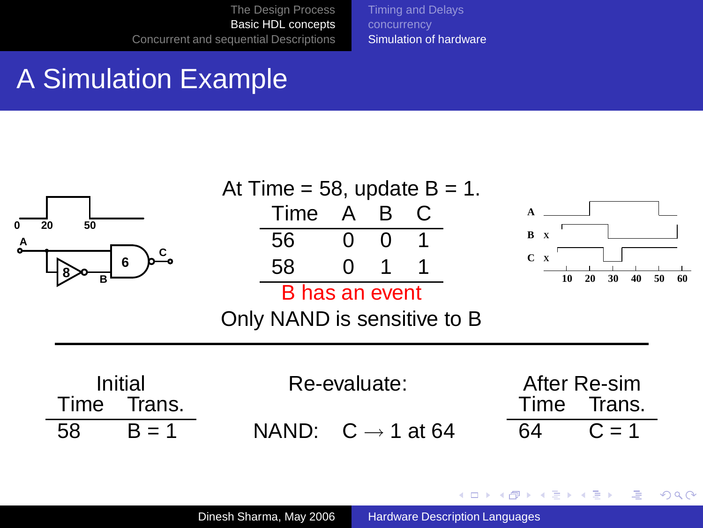[Timing and Delays](#page-19-0) [Simulation of hardware](#page-26-0)

### A Simulation Example



**K ロ ▶ K 何 ▶ K ヨ ▶ K ヨ** 

Ξ

**S**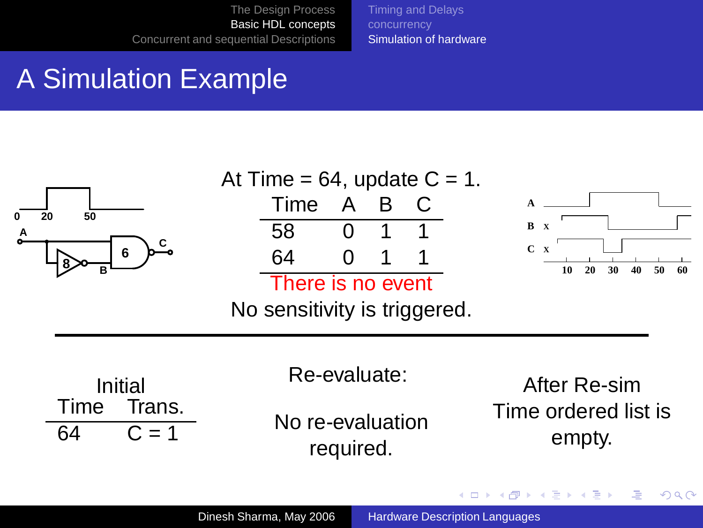[Timing and Delays](#page-19-0) [Simulation of hardware](#page-26-0)

# A Simulation Example

| 50<br>20<br>Α<br>6<br>в         | At Time = $64$ , update C = 1.<br>A<br>Time<br>58<br>64<br>There is no event<br>No sensitivity is triggered. | B | B X<br>$C \times$<br>20<br>10<br>30<br>50<br>60 |
|---------------------------------|--------------------------------------------------------------------------------------------------------------|---|-------------------------------------------------|
| Initial<br>Trans.<br>Time<br>64 | Re-evaluate:<br>No re-evaluation<br>required.                                                                |   | After Re-sim<br>Time ordered list is<br>empty.  |

メロトメ部 トメミトメミト

● 1  $2QQ$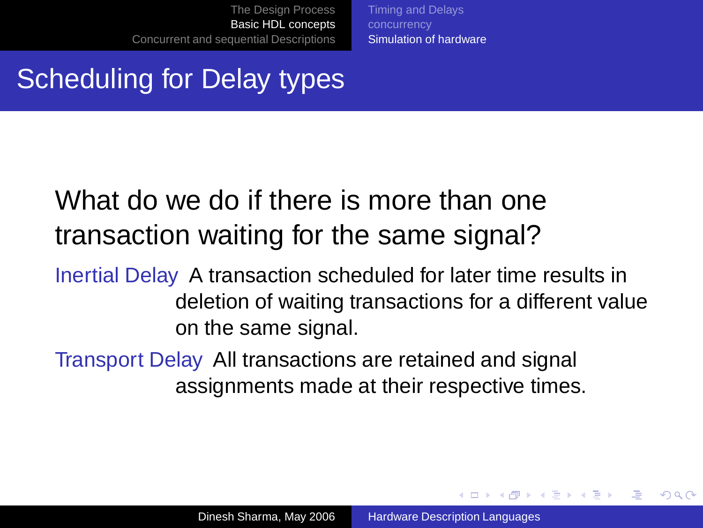[Timing and Delays](#page-19-0) [Simulation of hardware](#page-26-0)

# Scheduling for Delay types

# What do we do if there is more than one transaction waiting for the same signal?

Inertial Delay A transaction scheduled for later time results in deletion of waiting transactions for a different value on the same signal.

Transport Delay All transactions are retained and signal assignments made at their respective times.

イロト イ押 トイヨ トイヨト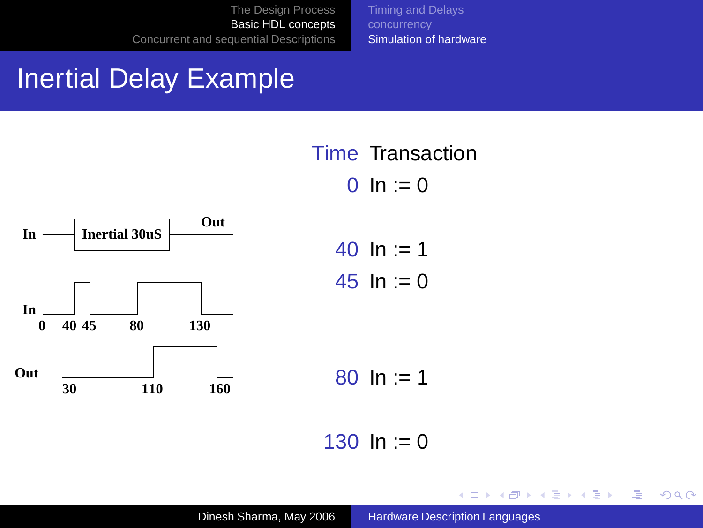[Timing and Delays](#page-19-0) [Simulation of hardware](#page-26-0)

#### Inertial Delay Example



Time Transaction  $0 \ln 1 = 0$ 

$$
40 \ln := 1
$$
  

$$
45 \ln := 0
$$

$$
80 \; \text{In} := 1
$$

130  $\ln := 0$ 

イロメ イ部メ イ君メ イ君メー

画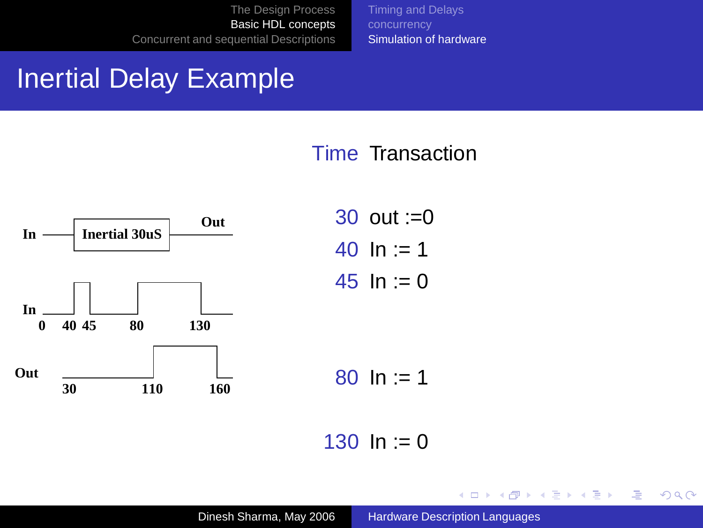[Timing and Delays](#page-19-0) [Simulation of hardware](#page-26-0)

#### Inertial Delay Example

#### Time Transaction



30 out :=0 40  $\ln := 1$ 45  $\ln := 0$ 

80  $\ln := 1$ 

130  $\ln := 0$ 

K ロ ▶ K 御 ▶ K 唐 ▶ K 唐 ▶

 $2990$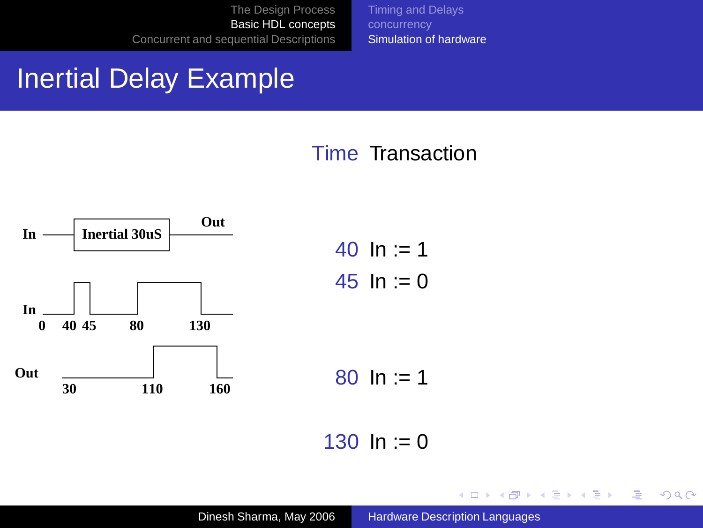[Timing and Delays](#page-19-0) [Simulation of hardware](#page-26-0)

#### Inertial Delay Example

#### Time Transaction



40  $\ln := 1$ 45  $\ln := 0$ 

80  $\ln := 1$ 

130  $\ln := 0$ 

イロトス 御 トス 君 トス 君 ト

 $2990$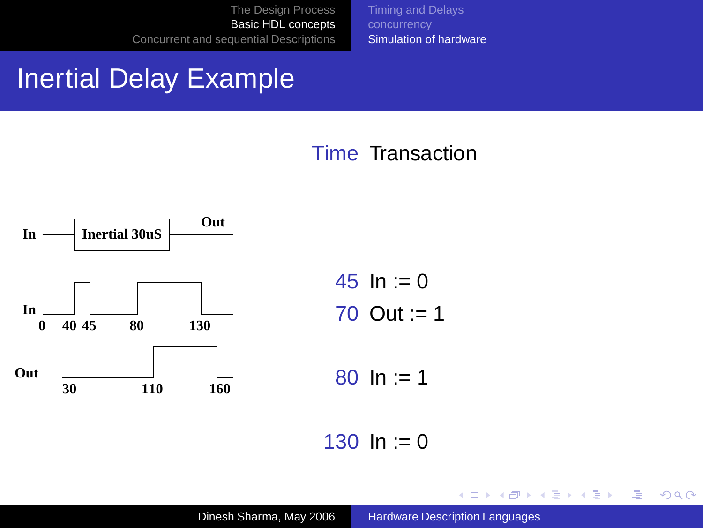[Timing and Delays](#page-19-0) [Simulation of hardware](#page-26-0)

#### Inertial Delay Example

#### Time Transaction



45  $\ln := 0$ 70 Out  $= 1$ 

80  $\ln := 1$ 

130  $\ln := 0$ 

K ロ ▶ K 御 ▶ K 唐 ▶ K 唐 ▶

 $2990$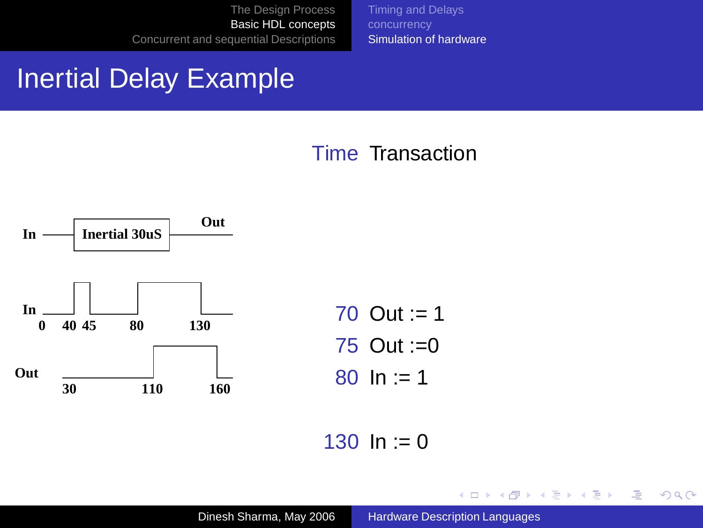[Timing and Delays](#page-19-0) [Simulation of hardware](#page-26-0)

#### Inertial Delay Example

#### Time Transaction



70 Out := 1 75 Out :=0 80  $\ln 1 = 1$ 

130  $\ln := 0$ 

K ロ ▶ K 御 ▶ K 唐 ▶ K 唐 ▶

 $2990$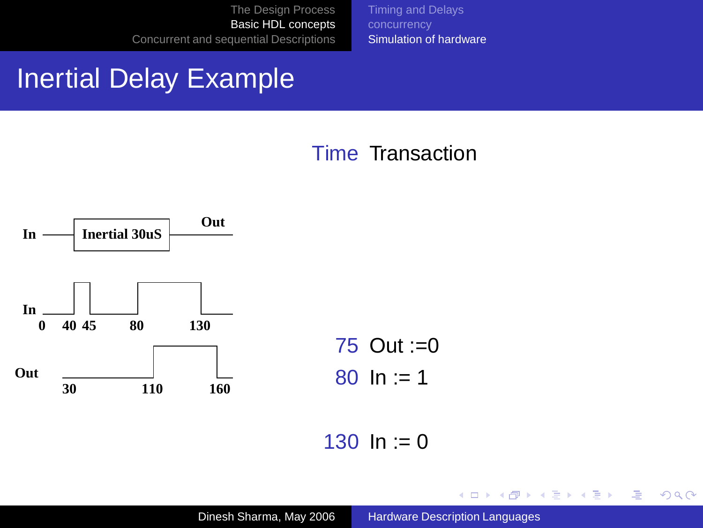[Timing and Delays](#page-19-0) [Simulation of hardware](#page-26-0)

#### Inertial Delay Example

#### Time Transaction



75 Out :=0 80  $\ln := 1$ 

130  $\ln := 0$ 

K ロ ▶ K 御 ▶ K 唐 ▶ K 唐 ▶

 $2990$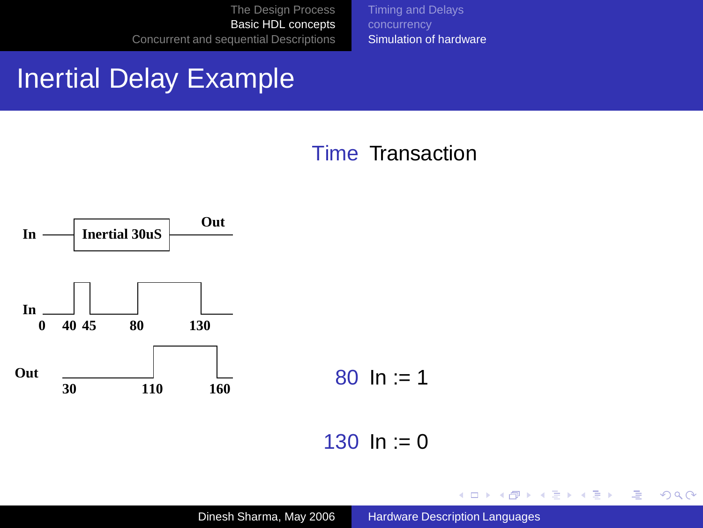[Timing and Delays](#page-19-0) [Simulation of hardware](#page-26-0)

#### Inertial Delay Example

#### Time Transaction



80  $\ln := 1$ 

130  $\ln := 0$ 

K ロ X K 個 X K 差 X K 差 X 。

画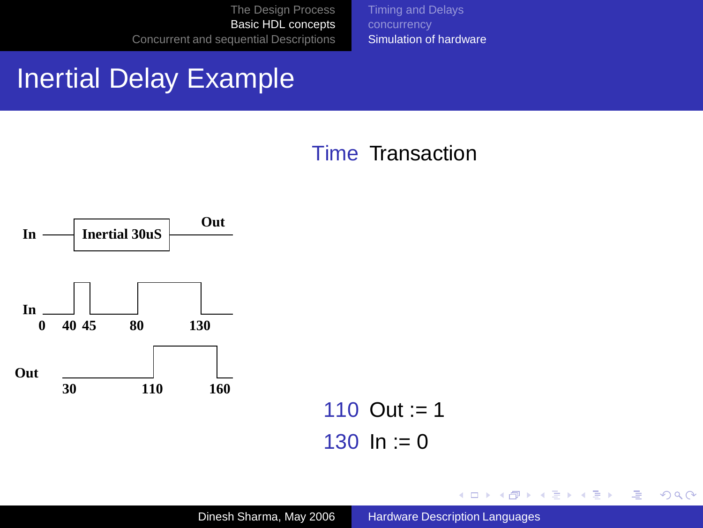[Timing and Delays](#page-19-0) [Simulation of hardware](#page-26-0)

#### Inertial Delay Example

#### Time Transaction



110 Out := 1 130  $\ln := 0$ 

K ロ X K 個 X K 差 X K 差 X 。

画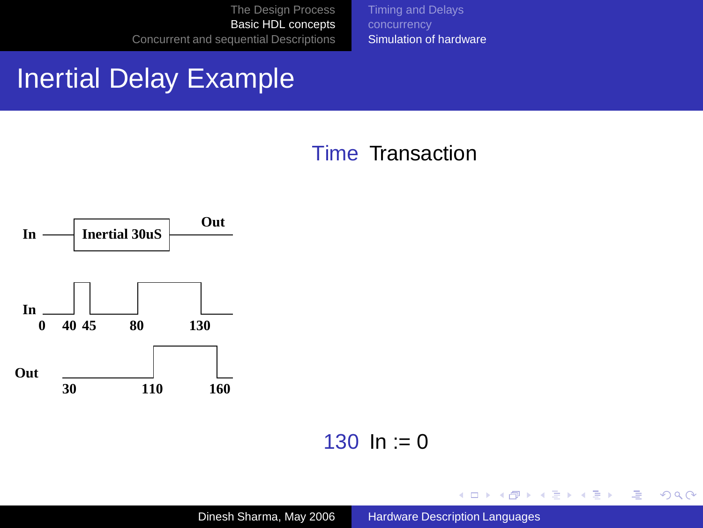[Timing and Delays](#page-19-0) [Simulation of hardware](#page-26-0)

#### Inertial Delay Example

#### Time Transaction



130  $\ln := 0$ 

Dinesh Sharma, May 2006 [Hardware Description Languages](#page-0-0)

K ロ X K 個 X K 差 X K 差 X 。

画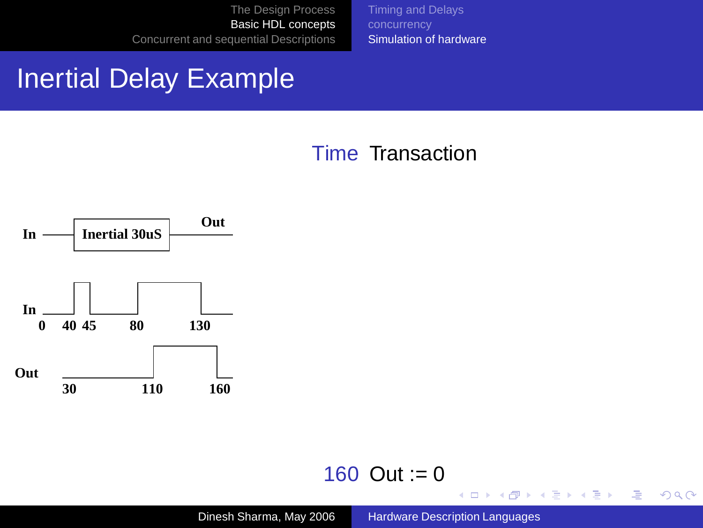[Timing and Delays](#page-19-0) [Simulation of hardware](#page-26-0)

#### Inertial Delay Example

#### Time Transaction



#### 160 Out :=  $0$

<span id="page-56-0"></span>イロトメ 御 トメ 君 トメ 君 トッ

■  $2990$ 

Dinesh Sharma, May 2006 [Hardware Description Languages](#page-0-0)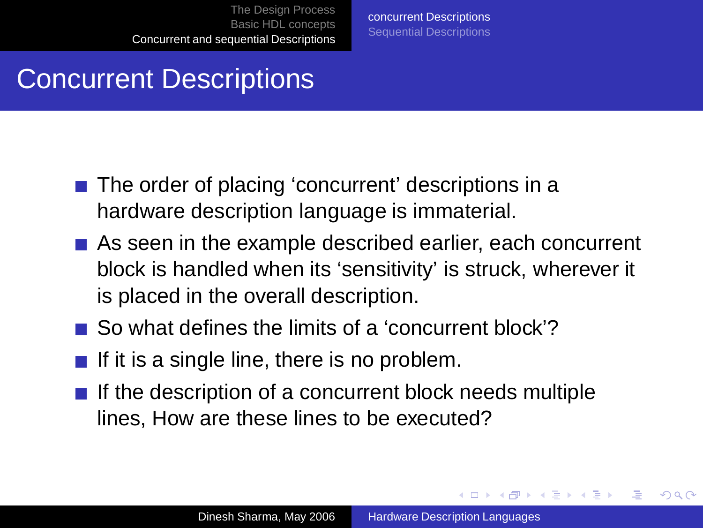[concurrent Descriptions](#page-57-0) [Sequential Descriptions](#page-59-0)

#### Concurrent Descriptions

- The order of placing 'concurrent' descriptions in a hardware description language is immaterial.
- As seen in the example described earlier, each concurrent block is handled when its 'sensitivity' is struck, wherever it is placed in the overall description.
- So what defines the limits of a 'concurrent block'?
- If it is a single line, there is no problem.
- If the description of a concurrent block needs multiple lines, How are these lines to be executed?

<span id="page-57-0"></span>イロト イ押 トイヨ トイヨト

 $2Q$ 

э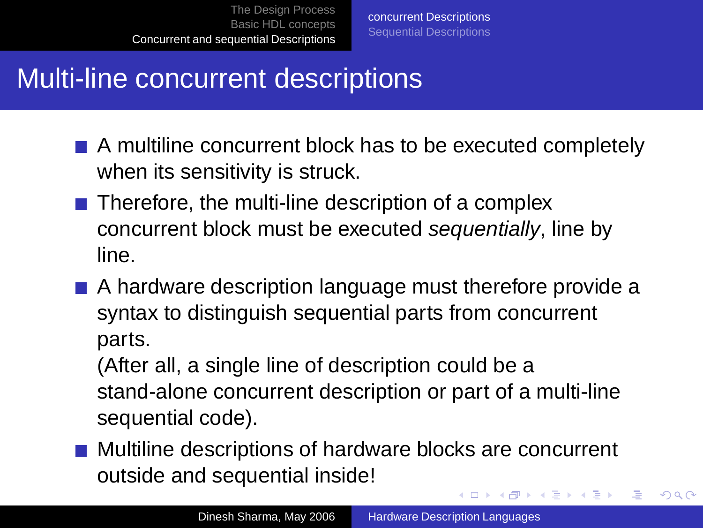# Multi-line concurrent descriptions

- A multiline concurrent block has to be executed completely when its sensitivity is struck.
- $\blacksquare$  Therefore, the multi-line description of a complex concurrent block must be executed sequentially, line by line.
- A hardware description language must therefore provide a syntax to distinguish sequential parts from concurrent parts.

(After all, a single line of description could be a stand-alone concurrent description or part of a multi-line sequential code).

**Multiline descriptions of hardware blocks are concurrent** outside and sequential inside! 4 ロ ) 4 何 ) 4 ヨ ) 4 ヨ )

 $\Rightarrow$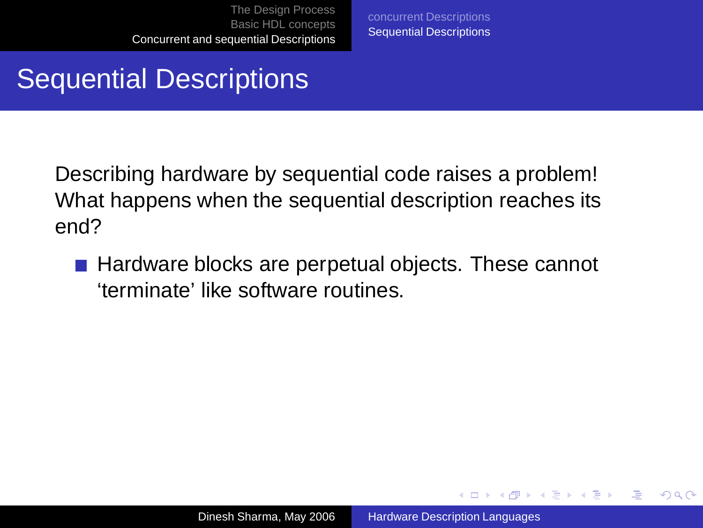[concurrent Descriptions](#page-57-0) [Sequential Descriptions](#page-61-0)

# Sequential Descriptions

Describing hardware by sequential code raises a problem! What happens when the sequential description reaches its end?

 $\blacksquare$  Hardware blocks are perpetual objects. These cannot 'terminate' like software routines.

<span id="page-59-0"></span>イロト イ押 トイヨ トイヨ トー

Φ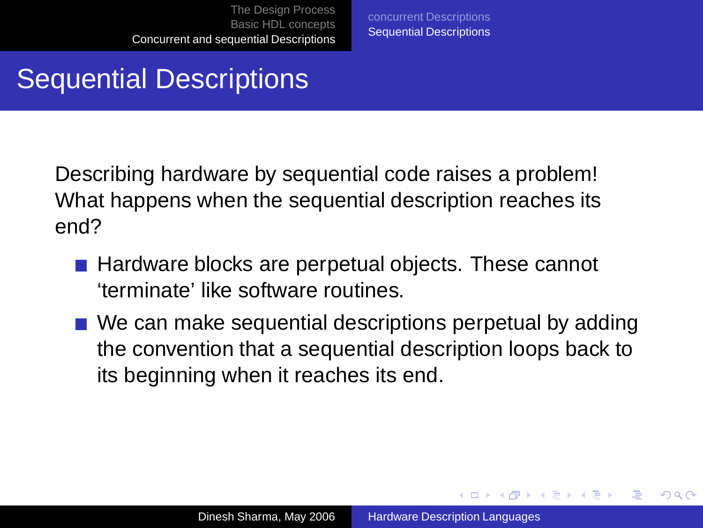[concurrent Descriptions](#page-57-0) [Sequential Descriptions](#page-61-0)

# Sequential Descriptions

Describing hardware by sequential code raises a problem! What happens when the sequential description reaches its end?

- Hardware blocks are perpetual objects. These cannot 'terminate' like software routines.
- We can make sequential descriptions perpetual by adding the convention that a sequential description loops back to its beginning when it reaches its end.

 $\left\{ \begin{array}{ccc} \square & \rightarrow & \left\{ \bigoplus \bullet & \leftarrow \emptyset \right\} \end{array} \right. \right\}$ 

Φ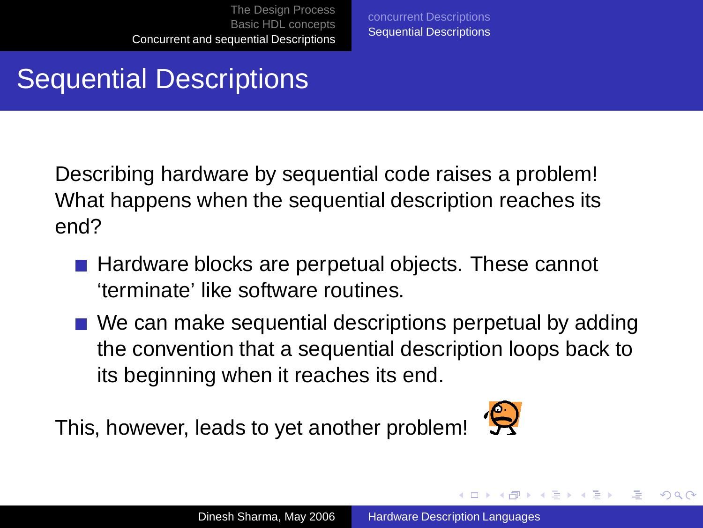[concurrent Descriptions](#page-57-0) [Sequential Descriptions](#page-59-0)

# Sequential Descriptions

Describing hardware by sequential code raises a problem! What happens when the sequential description reaches its end?

- Hardware blocks are perpetual objects. These cannot 'terminate' like software routines.
- We can make sequential descriptions perpetual by adding the convention that a sequential description loops back to its beginning when it reaches its end.

This, however, leads to yet another problem!



<span id="page-61-0"></span> $\left\{ \begin{array}{ccc} 1 & 0 & 0 \\ 0 & 1 & 0 \end{array} \right.$ 

Φ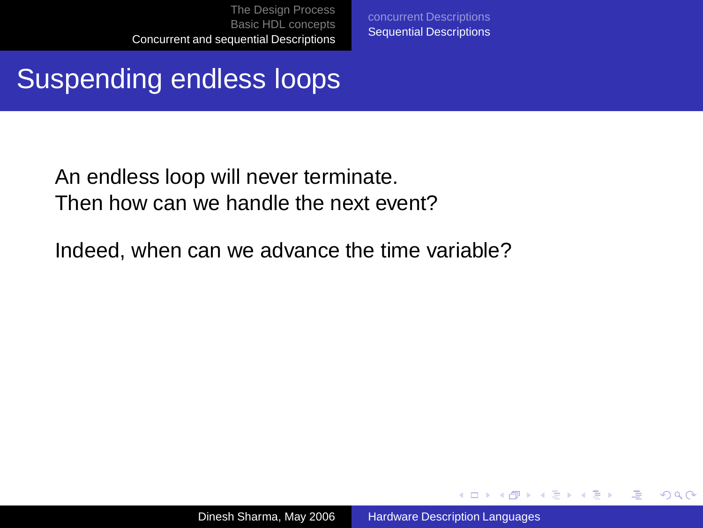[concurrent Descriptions](#page-57-0) [Sequential Descriptions](#page-59-0)

### Suspending endless loops

An endless loop will never terminate. Then how can we handle the next event?

Indeed, when can we advance the time variable?

 $\left\{ \begin{array}{ccc} 1 & 0 & 0 \\ 0 & 1 & 0 \end{array} \right.$ 

画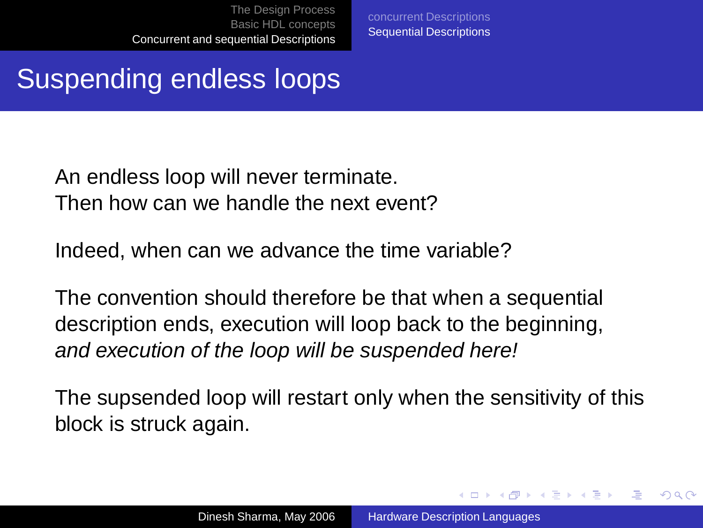[concurrent Descriptions](#page-57-0) [Sequential Descriptions](#page-59-0)

### Suspending endless loops

An endless loop will never terminate. Then how can we handle the next event?

Indeed, when can we advance the time variable?

The convention should therefore be that when a sequential description ends, execution will loop back to the beginning, and execution of the loop will be suspended here!

The supsended loop will restart only when the sensitivity of this block is struck again.

 $\left\{ \begin{array}{ccc} \square & \rightarrow & \left\{ \bigoplus \bullet & \leftarrow \emptyset \right\} \end{array} \right. \right\}$ 

Φ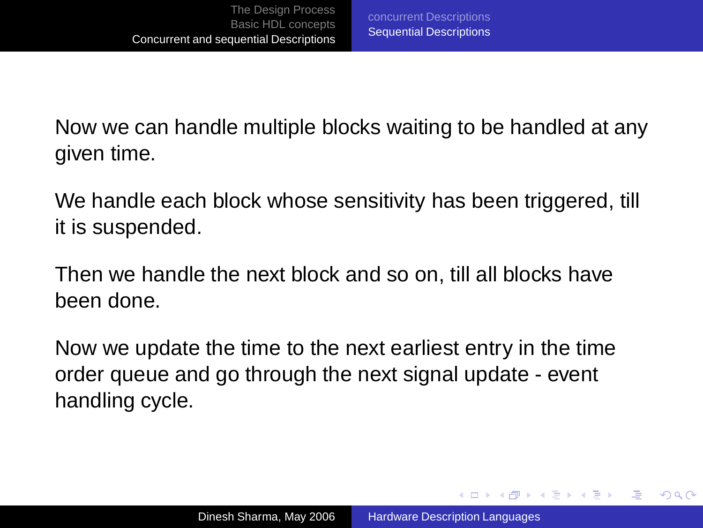Now we can handle multiple blocks waiting to be handled at any given time.

We handle each block whose sensitivity has been triggered, till it is suspended.

Then we handle the next block and so on, till all blocks have been done.

Now we update the time to the next earliest entry in the time order queue and go through the next signal update - event handling cycle.

- モニ (ギキン (手) (手) (コ)